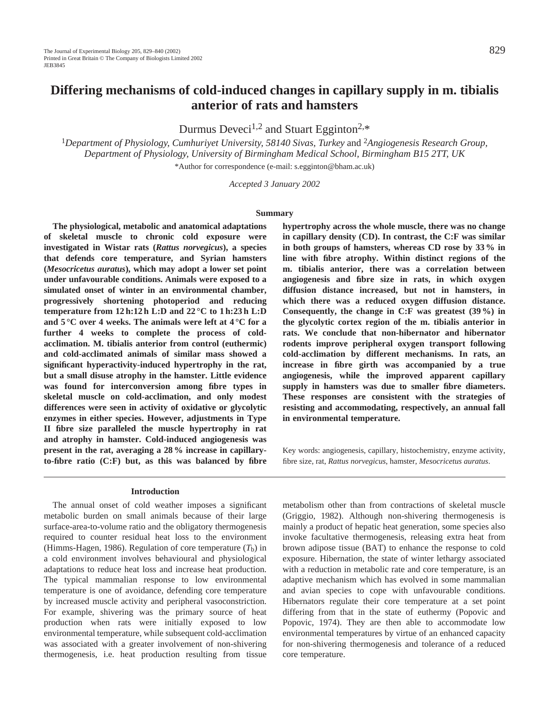# **Differing mechanisms of cold-induced changes in capillary supply in m. tibialis anterior of rats and hamsters**

Durmus Deveci<sup>1,2</sup> and Stuart Egginton<sup>2,\*</sup>

<sup>1</sup>*Department of Physiology, Cumhuriyet University, 58140 Sivas, Turkey* and <sup>2</sup>*Angiogenesis Research Group, Department of Physiology, University of Birmingham Medical School, Birmingham B15 2TT, UK*

\*Author for correspondence (e-mail: s.egginton@bham.ac.uk)

*Accepted 3 January 2002*

#### **Summary**

**The physiological, metabolic and anatomical adaptations of skeletal muscle to chronic cold exposure were investigated in Wistar rats (***Rattus norvegicus***), a species that defends core temperature, and Syrian hamsters (***Mesocricetus auratus***), which may adopt a lower set point under unfavourable conditions. Animals were exposed to a simulated onset of winter in an environmental chamber, progressively shortening photoperiod and reducing temperature from 12 h:12 h L:D and 22 °C to 1 h:23 h L:D and 5 °C over 4 weeks. The animals were left at 4 °C for a further 4 weeks to complete the process of coldacclimation. M. tibialis anterior from control (euthermic) and cold-acclimated animals of similar mass showed a significant hyperactivity-induced hypertrophy in the rat, but a small disuse atrophy in the hamster. Little evidence was found for interconversion among fibre types in skeletal muscle on cold-acclimation, and only modest differences were seen in activity of oxidative or glycolytic enzymes in either species. However, adjustments in Type II fibre size paralleled the muscle hypertrophy in rat and atrophy in hamster. Cold-induced angiogenesis was present in the rat, averaging a 28 % increase in capillaryto-fibre ratio (C:F) but, as this was balanced by fibre**

#### **Introduction**

The annual onset of cold weather imposes a significant metabolic burden on small animals because of their large surface-area-to-volume ratio and the obligatory thermogenesis required to counter residual heat loss to the environment (Himms-Hagen, 1986). Regulation of core temperature  $(T_b)$  in a cold environment involves behavioural and physiological adaptations to reduce heat loss and increase heat production. The typical mammalian response to low environmental temperature is one of avoidance, defending core temperature by increased muscle activity and peripheral vasoconstriction. For example, shivering was the primary source of heat production when rats were initially exposed to low environmental temperature, while subsequent cold-acclimation was associated with a greater involvement of non-shivering thermogenesis, i.e. heat production resulting from tissue **hypertrophy across the whole muscle, there was no change in capillary density (CD). In contrast, the C:F was similar in both groups of hamsters, whereas CD rose by 33 % in line with fibre atrophy. Within distinct regions of the m. tibialis anterior, there was a correlation between angiogenesis and fibre size in rats, in which oxygen diffusion distance increased, but not in hamsters, in which there was a reduced oxygen diffusion distance. Consequently, the change in C:F was greatest (39 %) in the glycolytic cortex region of the m. tibialis anterior in rats. We conclude that non-hibernator and hibernator rodents improve peripheral oxygen transport following cold-acclimation by different mechanisms. In rats, an increase in fibre girth was accompanied by a true angiogenesis, while the improved apparent capillary supply in hamsters was due to smaller fibre diameters. These responses are consistent with the strategies of resisting and accommodating, respectively, an annual fall in environmental temperature.**

Key words: angiogenesis, capillary, histochemistry, enzyme activity, fibre size, rat, *Rattus norvegicus*, hamster, *Mesocricetus auratus*.

metabolism other than from contractions of skeletal muscle (Griggio, 1982). Although non-shivering thermogenesis is mainly a product of hepatic heat generation, some species also invoke facultative thermogenesis, releasing extra heat from brown adipose tissue (BAT) to enhance the response to cold exposure. Hibernation, the state of winter lethargy associated with a reduction in metabolic rate and core temperature, is an adaptive mechanism which has evolved in some mammalian and avian species to cope with unfavourable conditions. Hibernators regulate their core temperature at a set point differing from that in the state of euthermy (Popovic and Popovic, 1974). They are then able to accommodate low environmental temperatures by virtue of an enhanced capacity for non-shivering thermogenesis and tolerance of a reduced core temperature.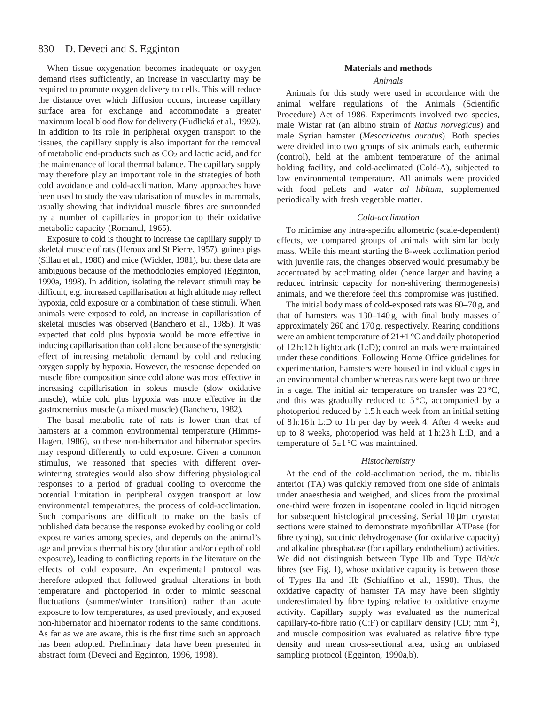#### 830 D. Deveci and S. Egginton

When tissue oxygenation becomes inadequate or oxygen demand rises sufficiently, an increase in vascularity may be required to promote oxygen delivery to cells. This will reduce the distance over which diffusion occurs, increase capillary surface area for exchange and accommodate a greater maximum local blood flow for delivery (Hudlická et al., 1992). In addition to its role in peripheral oxygen transport to the tissues, the capillary supply is also important for the removal of metabolic end-products such as CO2 and lactic acid, and for the maintenance of local thermal balance. The capillary supply may therefore play an important role in the strategies of both cold avoidance and cold-acclimation. Many approaches have been used to study the vascularisation of muscles in mammals, usually showing that individual muscle fibres are surrounded by a number of capillaries in proportion to their oxidative metabolic capacity (Romanul, 1965).

Exposure to cold is thought to increase the capillary supply to skeletal muscle of rats (Heroux and St Pierre, 1957), guinea pigs (Sillau et al., 1980) and mice (Wickler, 1981), but these data are ambiguous because of the methodologies employed (Egginton, 1990a, 1998). In addition, isolating the relevant stimuli may be difficult, e.g. increased capillarisation at high altitude may reflect hypoxia, cold exposure or a combination of these stimuli. When animals were exposed to cold, an increase in capillarisation of skeletal muscles was observed (Banchero et al., 1985). It was expected that cold plus hypoxia would be more effective in inducing capillarisation than cold alone because of the synergistic effect of increasing metabolic demand by cold and reducing oxygen supply by hypoxia. However, the response depended on muscle fibre composition since cold alone was most effective in increasing capillarisation in soleus muscle (slow oxidative muscle), while cold plus hypoxia was more effective in the gastrocnemius muscle (a mixed muscle) (Banchero, 1982).

The basal metabolic rate of rats is lower than that of hamsters at a common environmental temperature (Himms-Hagen, 1986), so these non-hibernator and hibernator species may respond differently to cold exposure. Given a common stimulus, we reasoned that species with different overwintering strategies would also show differing physiological responses to a period of gradual cooling to overcome the potential limitation in peripheral oxygen transport at low environmental temperatures, the process of cold-acclimation. Such comparisons are difficult to make on the basis of published data because the response evoked by cooling or cold exposure varies among species, and depends on the animal's age and previous thermal history (duration and/or depth of cold exposure), leading to conflicting reports in the literature on the effects of cold exposure. An experimental protocol was therefore adopted that followed gradual alterations in both temperature and photoperiod in order to mimic seasonal fluctuations (summer/winter transition) rather than acute exposure to low temperatures, as used previously, and exposed non-hibernator and hibernator rodents to the same conditions. As far as we are aware, this is the first time such an approach has been adopted. Preliminary data have been presented in abstract form (Deveci and Egginton, 1996, 1998).

### **Materials and methods**

### *Animals*

Animals for this study were used in accordance with the animal welfare regulations of the Animals (Scientific Procedure) Act of 1986. Experiments involved two species, male Wistar rat (an albino strain of *Rattus norvegicus*) and male Syrian hamster (*Mesocricetus auratus*). Both species were divided into two groups of six animals each, euthermic (control), held at the ambient temperature of the animal holding facility, and cold-acclimated (Cold-A), subjected to low environmental temperature. All animals were provided with food pellets and water *ad libitum*, supplemented periodically with fresh vegetable matter.

#### *Cold-acclimation*

To minimise any intra-specific allometric (scale-dependent) effects, we compared groups of animals with similar body mass. While this meant starting the 8-week acclimation period with juvenile rats, the changes observed would presumably be accentuated by acclimating older (hence larger and having a reduced intrinsic capacity for non-shivering thermogenesis) animals, and we therefore feel this compromise was justified.

The initial body mass of cold-exposed rats was 60–70 g, and that of hamsters was 130–140 g, with final body masses of approximately 260 and 170 g, respectively. Rearing conditions were an ambient temperature of  $21\pm1$  °C and daily photoperiod of 12 h:12 h light:dark (L:D); control animals were maintained under these conditions. Following Home Office guidelines for experimentation, hamsters were housed in individual cages in an environmental chamber whereas rats were kept two or three in a cage. The initial air temperature on transfer was  $20^{\circ}$ C, and this was gradually reduced to  $5^{\circ}$ C, accompanied by a photoperiod reduced by 1.5 h each week from an initial setting of 8 h:16 h L:D to 1 h per day by week 4. After 4 weeks and up to 8 weeks, photoperiod was held at 1 h:23 h L:D, and a temperature of  $5\pm1$  °C was maintained.

#### *Histochemistry*

At the end of the cold-acclimation period, the m. tibialis anterior (TA) was quickly removed from one side of animals under anaesthesia and weighed, and slices from the proximal one-third were frozen in isopentane cooled in liquid nitrogen for subsequent histological processing. Serial  $10 \mu m$  cryostat sections were stained to demonstrate myofibrillar ATPase (for fibre typing), succinic dehydrogenase (for oxidative capacity) and alkaline phosphatase (for capillary endothelium) activities. We did not distinguish between Type IIb and Type IId/x/c fibres (see Fig. 1), whose oxidative capacity is between those of Types IIa and IIb (Schiaffino et al., 1990). Thus, the oxidative capacity of hamster TA may have been slightly underestimated by fibre typing relative to oxidative enzyme activity. Capillary supply was evaluated as the numerical capillary-to-fibre ratio (C:F) or capillary density (CD; mm–2), and muscle composition was evaluated as relative fibre type density and mean cross-sectional area, using an unbiased sampling protocol (Egginton, 1990a,b).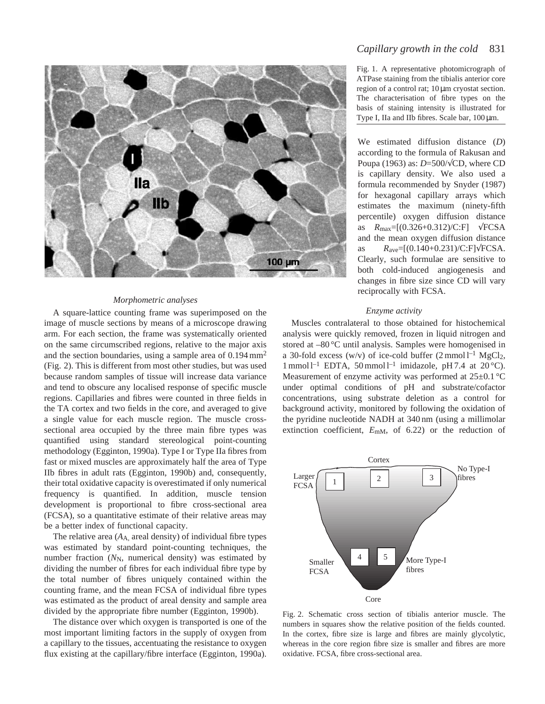

#### *Morphometric analyses*

A square-lattice counting frame was superimposed on the image of muscle sections by means of a microscope drawing arm. For each section, the frame was systematically oriented on the same circumscribed regions, relative to the major axis and the section boundaries, using a sample area of 0.194 mm<sup>2</sup> (Fig. 2). This is different from most other studies, but was used because random samples of tissue will increase data variance and tend to obscure any localised response of specific muscle regions. Capillaries and fibres were counted in three fields in the TA cortex and two fields in the core, and averaged to give a single value for each muscle region. The muscle crosssectional area occupied by the three main fibre types was quantified using standard stereological point-counting methodology (Egginton, 1990a). Type I or Type IIa fibres from fast or mixed muscles are approximately half the area of Type IIb fibres in adult rats (Egginton, 1990b) and, consequently, their total oxidative capacity is overestimated if only numerical frequency is quantified. In addition, muscle tension development is proportional to fibre cross-sectional area (FCSA), so a quantitative estimate of their relative areas may be a better index of functional capacity.

The relative area  $(A_A)$  areal density) of individual fibre types was estimated by standard point-counting techniques, the number fraction (N<sub>N</sub>, numerical density) was estimated by dividing the number of fibres for each individual fibre type by the total number of fibres uniquely contained within the counting frame, and the mean FCSA of individual fibre types was estimated as the product of areal density and sample area divided by the appropriate fibre number (Egginton, 1990b).

The distance over which oxygen is transported is one of the most important limiting factors in the supply of oxygen from a capillary to the tissues, accentuating the resistance to oxygen flux existing at the capillary/fibre interface (Egginton, 1990a).

## *Capillary growth in the cold* 831

Fig. 1. A representative photomicrograph of ATPase staining from the tibialis anterior core region of a control rat; 10 µm cryostat section. The characterisation of fibre types on the basis of staining intensity is illustrated for Type I, IIa and IIb fibres. Scale bar, 100 µm.

We estimated diffusion distance (*D*) according to the formula of Rakusan and Poupa (1963) as: *D*=500/√CD, where CD is capillary density. We also used a formula recommended by Snyder (1987) for hexagonal capillary arrays which estimates the maximum (ninety-fifth percentile) oxygen diffusion distance as *R*max=[(0.326+0.312)/C:F] √FCSA and the mean oxygen diffusion distance as *R*ave=[(0.140+0.231)/C:F]√FCSA. Clearly, such formulae are sensitive to both cold-induced angiogenesis and changes in fibre size since CD will vary reciprocally with FCSA.

#### *Enzyme activity*

Muscles contralateral to those obtained for histochemical analysis were quickly removed, frozen in liquid nitrogen and stored at –80 °C until analysis. Samples were homogenised in a 30-fold excess (w/v) of ice-cold buffer  $(2 \text{ mmol } l^{-1} \text{ MgCl}_2)$ , 1 mmol  $l^{-1}$  EDTA, 50 mmol  $l^{-1}$  imidazole, pH 7.4 at 20 °C). Measurement of enzyme activity was performed at  $25 \pm 0.1$  °C under optimal conditions of pH and substrate/cofactor concentrations, using substrate deletion as a control for background activity, monitored by following the oxidation of the pyridine nucleotide NADH at 340 nm (using a millimolar extinction coefficient,  $E_{\text{mM}}$ , of 6.22) or the reduction of



Fig. 2. Schematic cross section of tibialis anterior muscle. The numbers in squares show the relative position of the fields counted. In the cortex, fibre size is large and fibres are mainly glycolytic, whereas in the core region fibre size is smaller and fibres are more oxidative. FCSA, fibre cross-sectional area.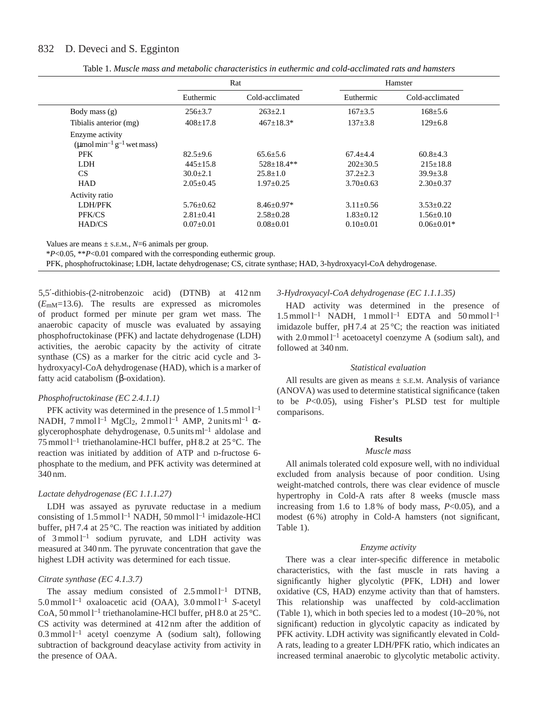## 832 D. Deveci and S. Egginton

|                                                               | Rat             |                  | Hamster         |                  |
|---------------------------------------------------------------|-----------------|------------------|-----------------|------------------|
|                                                               | Euthermic       | Cold-acclimated  | Euthermic       | Cold-acclimated  |
| Body mass $(g)$                                               | $256 \pm 3.7$   | $263+2.1$        | $167 + 3.5$     | $168 \pm 5.6$    |
| Tibialis anterior (mg)                                        | $408 \pm 17.8$  | $467 \pm 18.3*$  | $137 + 3.8$     | $129 \pm 6.8$    |
| Enzyme activity<br>(µmol min <sup>-1</sup> $g^{-1}$ wet mass) |                 |                  |                 |                  |
| <b>PFK</b>                                                    | $82.5 \pm 9.6$  | $65.6 + 5.6$     | $67.4 + 4.4$    | $60.8 \pm 4.3$   |
| <b>LDH</b>                                                    | $445+15.8$      | $528 \pm 18.4**$ | $202 \pm 30.5$  | $215 \pm 18.8$   |
| CS.                                                           | $30.0 + 2.1$    | $25.8 \pm 1.0$   | $37.2 \pm 2.3$  | $39.9 \pm 3.8$   |
| <b>HAD</b>                                                    | $2.05+0.45$     | $1.97 \pm 0.25$  | $3.70 + 0.63$   | $2.30 \pm 0.37$  |
| Activity ratio                                                |                 |                  |                 |                  |
| LDH/PFK                                                       | $5.76 \pm 0.62$ | $8.46 \pm 0.97*$ | $3.11 \pm 0.56$ | $3.53 \pm 0.22$  |
| PFK/CS                                                        | $2.81 \pm 0.41$ | $2.58 \pm 0.28$  | $1.83 \pm 0.12$ | $1.56 \pm 0.10$  |
| HAD/CS                                                        | $0.07 \pm 0.01$ | $0.08 \pm 0.01$  | $0.10 \pm 0.01$ | $0.06 \pm 0.01*$ |

Table 1. *Muscle mass and metabolic characteristics in euthermic and cold-acclimated rats and hamsters*

Values are means  $\pm$  s.e.m.,  $N=6$  animals per group.

\**P*<0.05, \*\**P*<0.01 compared with the corresponding euthermic group.

PFK, phosphofructokinase; LDH, lactate dehydrogenase; CS, citrate synthase; HAD, 3-hydroxyacyl-CoA dehydrogenase.

5,5′-dithiobis-(2-nitrobenzoic acid) (DTNB) at 412 nm (*E*mM=13.6). The results are expressed as micromoles of product formed per minute per gram wet mass. The anaerobic capacity of muscle was evaluated by assaying phosphofructokinase (PFK) and lactate dehydrogenase (LDH) activities, the aerobic capacity by the activity of citrate synthase (CS) as a marker for the citric acid cycle and 3 hydroxyacyl-CoA dehydrogenase (HAD), which is a marker of fatty acid catabolism (β-oxidation).

### *Phosphofructokinase (EC 2.4.1.1)*

PFK activity was determined in the presence of  $1.5 \text{ mmol} \, \text{l}^{-1}$ NADH, 7 mmol l<sup>-1</sup> MgCl<sub>2</sub>, 2 mmol l<sup>-1</sup> AMP, 2 units ml<sup>-1</sup>  $\alpha$ glycerophosphate dehydrogenase, 0.5 units ml–1 aldolase and 75 mmol  $l^{-1}$  triethanolamine-HCl buffer, pH 8.2 at 25 °C. The reaction was initiated by addition of ATP and D-fructose 6 phosphate to the medium, and PFK activity was determined at 340 nm.

### *Lactate dehydrogenase (EC 1.1.1.27)*

LDH was assayed as pyruvate reductase in a medium consisting of  $1.5 \text{ mmol} \, \text{l}^{-1}$  NADH,  $50 \text{ mmol} \, \text{l}^{-1}$  imidazole-HCl buffer, pH 7.4 at 25 °C. The reaction was initiated by addition of  $3$  mmol  $l^{-1}$  sodium pyruvate, and LDH activity was measured at 340 nm. The pyruvate concentration that gave the highest LDH activity was determined for each tissue.

#### *Citrate synthase (EC 4.1.3.7)*

The assay medium consisted of  $2.5 \text{ mmol } l^{-1}$  DTNB, 5.0 mmol l–1 oxaloacetic acid (OAA), 3.0 mmol l–1 *S*-acetyl CoA, 50 mmol  $1^{-1}$  triethanolamine-HCl buffer, pH 8.0 at 25 °C. CS activity was determined at 412 nm after the addition of  $0.3$  mmol l<sup>-1</sup> acetyl coenzyme A (sodium salt), following subtraction of background deacylase activity from activity in the presence of OAA.

### *3-Hydroxyacyl-CoA dehydrogenase (EC 1.1.1.35)*

HAD activity was determined in the presence of  $1.5$  mmol  $l^{-1}$  NADH, 1 mmol  $l^{-1}$  EDTA and  $50$  mmol  $l^{-1}$ imidazole buffer, pH 7.4 at  $25^{\circ}$ C; the reaction was initiated with  $2.0 \text{ mmol } l^{-1}$  acetoacetyl coenzyme A (sodium salt), and followed at 340 nm.

#### *Statistical evaluation*

All results are given as means  $\pm$  s.E.M. Analysis of variance (ANOVA) was used to determine statistical significance (taken to be *P*<0.05), using Fisher's PLSD test for multiple comparisons.

#### **Results**

#### *Muscle mass*

All animals tolerated cold exposure well, with no individual excluded from analysis because of poor condition. Using weight-matched controls, there was clear evidence of muscle hypertrophy in Cold-A rats after 8 weeks (muscle mass increasing from 1.6 to 1.8% of body mass,  $P<0.05$ ), and a modest (6 %) atrophy in Cold-A hamsters (not significant, Table 1).

### *Enzyme activity*

There was a clear inter-specific difference in metabolic characteristics, with the fast muscle in rats having a significantly higher glycolytic (PFK, LDH) and lower oxidative (CS, HAD) enzyme activity than that of hamsters. This relationship was unaffected by cold-acclimation (Table 1), which in both species led to a modest (10–20 %, not significant) reduction in glycolytic capacity as indicated by PFK activity. LDH activity was significantly elevated in Cold-A rats, leading to a greater LDH/PFK ratio, which indicates an increased terminal anaerobic to glycolytic metabolic activity.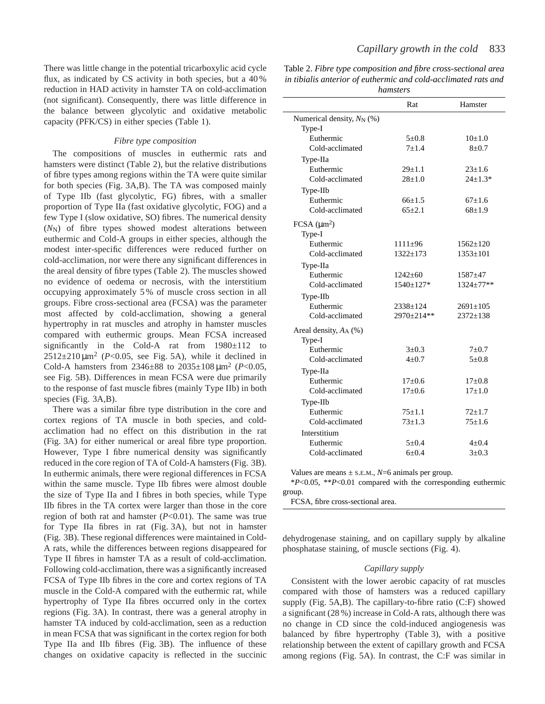There was little change in the potential tricarboxylic acid cycle flux, as indicated by CS activity in both species, but a 40 % reduction in HAD activity in hamster TA on cold-acclimation (not significant). Consequently, there was little difference in the balance between glycolytic and oxidative metabolic capacity (PFK/CS) in either species (Table 1).

#### *Fibre type composition*

The compositions of muscles in euthermic rats and hamsters were distinct (Table 2), but the relative distributions of fibre types among regions within the TA were quite similar for both species (Fig. 3A,B). The TA was composed mainly of Type IIb (fast glycolytic, FG) fibres, with a smaller proportion of Type IIa (fast oxidative glycolytic, FOG) and a few Type I (slow oxidative, SO) fibres. The numerical density ( $N_{\rm N}$ ) of fibre types showed modest alterations between euthermic and Cold-A groups in either species, although the modest inter-specific differences were reduced further on cold-acclimation, nor were there any significant differences in the areal density of fibre types (Table 2). The muscles showed no evidence of oedema or necrosis, with the interstitium occupying approximately 5 % of muscle cross section in all groups. Fibre cross-sectional area (FCSA) was the parameter most affected by cold-acclimation, showing a general hypertrophy in rat muscles and atrophy in hamster muscles compared with euthermic groups. Mean FCSA increased significantly in the Cold-A rat from 1980±112 to  $2512\pm210\,\mu\text{m}^2$  (*P*<0.05, see Fig. 5A), while it declined in Cold-A hamsters from 2346±88 to 2035±108 µm<sup>2</sup> (*P*<0.05, see Fig. 5B). Differences in mean FCSA were due primarily to the response of fast muscle fibres (mainly Type IIb) in both species (Fig. 3A,B).

There was a similar fibre type distribution in the core and cortex regions of TA muscle in both species, and coldacclimation had no effect on this distribution in the rat (Fig. 3A) for either numerical or areal fibre type proportion. However, Type I fibre numerical density was significantly reduced in the core region of TA of Cold-A hamsters (Fig. 3B). In euthermic animals, there were regional differences in FCSA within the same muscle. Type IIb fibres were almost double the size of Type IIa and I fibres in both species, while Type IIb fibres in the TA cortex were larger than those in the core region of both rat and hamster (*P*<0.01). The same was true for Type IIa fibres in rat (Fig. 3A), but not in hamster (Fig. 3B). These regional differences were maintained in Cold-A rats, while the differences between regions disappeared for Type II fibres in hamster TA as a result of cold-acclimation. Following cold-acclimation, there was a significantly increased FCSA of Type IIb fibres in the core and cortex regions of TA muscle in the Cold-A compared with the euthermic rat, while hypertrophy of Type IIa fibres occurred only in the cortex regions (Fig. 3A). In contrast, there was a general atrophy in hamster TA induced by cold-acclimation, seen as a reduction in mean FCSA that was significant in the cortex region for both Type IIa and IIb fibres (Fig. 3B). The influence of these changes on oxidative capacity is reflected in the succinic

Table 2. *Fibre type composition and fibre cross-sectional area in tibialis anterior of euthermic and cold-acclimated rats and hamsters*

|                                       | Rat             | Hamster        |
|---------------------------------------|-----------------|----------------|
|                                       |                 |                |
| Numerical density, N <sub>N</sub> (%) |                 |                |
| Type-I                                |                 |                |
| Euthermic                             | $5 \pm 0.8$     | $10+1.0$       |
| Cold-acclimated                       | $7 + 1.4$       | $8 + 0.7$      |
| Type-IIa                              |                 |                |
| Euthermic                             | $29 \pm 1.1$    | $23 \pm 1.6$   |
| Cold-acclimated                       | $28+1.0$        | $24 \pm 1.3*$  |
| Type-IIb                              |                 |                |
| Euthermic                             | $66+1.5$        | $67+1.6$       |
| Cold-acclimated                       | $65 \pm 2.1$    | $68+1.9$       |
| FCSA (µm <sup>2</sup> )               |                 |                |
| Type-I                                |                 |                |
| Euthermic                             | $1111 \pm 96$   | $1562 \pm 120$ |
| Cold-acclimated                       | $1322 + 173$    | $1353 \pm 101$ |
| Type-IIa                              |                 |                |
| Euthermic                             | $1242 \pm 60$   | $1587 + 47$    |
| Cold-acclimated                       | $1540 \pm 127*$ | 1324±77**      |
| Type-IIb                              |                 |                |
| Euthermic                             | $2338 \pm 124$  | $2691 \pm 105$ |
| Cold-acclimated                       | 2970±214**      | $2372+138$     |
|                                       |                 |                |
| Areal density, $A_A$ (%)              |                 |                |
| Type-I<br>Euthermic                   | $3 + 0.3$       | $7 + 0.7$      |
| Cold-acclimated                       | $4 + 0.7$       | $5 + 0.8$      |
|                                       |                 |                |
| Type-IIa                              |                 |                |
| Euthermic                             | $17+0.6$        | $17+0.8$       |
| Cold-acclimated                       | $17 + 0.6$      | $17+1.0$       |
| Type-IIb                              |                 |                |
| Euthermic                             | $75 + 1.1$      | $72 + 1.7$     |
| Cold-acclimated                       | $73 + 1.3$      | $75 + 1.6$     |
| Interstitium                          |                 |                |
| Euthermic                             | $5 + 0.4$       | $4 + 0.4$      |
| Cold-acclimated                       | $6+0.4$         | $3+0.3$        |

Values are means  $\pm$  s.e.m.,  $N=6$  animals per group.

\**P*<0.05, \*\**P*<0.01 compared with the corresponding euthermic group.

FCSA, fibre cross-sectional area.

dehydrogenase staining, and on capillary supply by alkaline phosphatase staining, of muscle sections (Fig. 4).

### *Capillary supply*

Consistent with the lower aerobic capacity of rat muscles compared with those of hamsters was a reduced capillary supply (Fig. 5A,B). The capillary-to-fibre ratio (C:F) showed a significant (28 %) increase in Cold-A rats, although there was no change in CD since the cold-induced angiogenesis was balanced by fibre hypertrophy (Table 3), with a positive relationship between the extent of capillary growth and FCSA among regions (Fig. 5A). In contrast, the C:F was similar in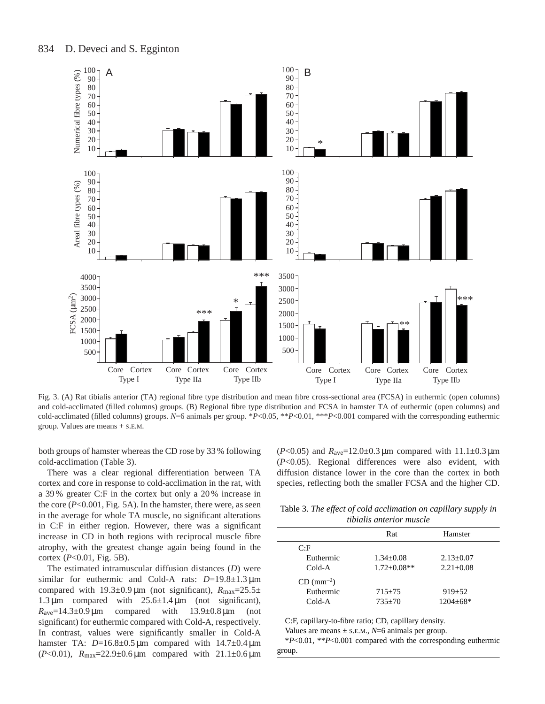

Fig. 3. (A) Rat tibialis anterior (TA) regional fibre type distribution and mean fibre cross-sectional area (FCSA) in euthermic (open columns) and cold-acclimated (filled columns) groups. (B) Regional fibre type distribution and FCSA in hamster TA of euthermic (open columns) and cold-acclimated (filled columns) groups. *N*=6 animals per group. \**P*<0.05, \*\**P*<0.01, \*\*\**P*<0.001 compared with the corresponding euthermic group. Values are means + S.E.M.

both groups of hamster whereas the CD rose by 33 % following cold-acclimation (Table 3).

There was a clear regional differentiation between TA cortex and core in response to cold-acclimation in the rat, with a 39 % greater C:F in the cortex but only a 20 % increase in the core (*P*<0.001, Fig. 5A). In the hamster, there were, as seen in the average for whole TA muscle, no significant alterations in C:F in either region. However, there was a significant increase in CD in both regions with reciprocal muscle fibre atrophy, with the greatest change again being found in the cortex (*P*<0.01, Fig. 5B).

The estimated intramuscular diffusion distances (*D*) were similar for euthermic and Cold-A rats: *D*=19.8±1.3 µm compared with  $19.3 \pm 0.9 \,\mu m$  (not significant),  $R_{\text{max}} = 25.5 \pm 1.5 \,\mu m$ 1.3  $\mu$ m compared with 25.6 $\pm$ 1.4  $\mu$ m (not significant),  $R_{\text{ave}}=14.3\pm0.9 \,\mu\text{m}$  compared with  $13.9\pm0.8 \,\mu\text{m}$  (not significant) for euthermic compared with Cold-A, respectively. In contrast, values were significantly smaller in Cold-A hamster TA:  $D=16.8\pm0.5 \,\mu m$  compared with  $14.7\pm0.4 \,\mu m$ (*P*<0.01), *R*max=22.9±0.6 µm compared with 21.1±0.6 µm

( $P<0.05$ ) and  $R_{\text{ave}}=12.0\pm0.3 \,\mu\text{m}$  compared with  $11.1\pm0.3 \,\mu\text{m}$ (*P*<0.05). Regional differences were also evident, with diffusion distance lower in the core than the cortex in both species, reflecting both the smaller FCSA and the higher CD.

Table 3. *The effect of cold acclimation on capillary supply in tibialis anterior muscle*

| ,,,,,,,,,,,,,,,,,,,,,,,,,,,,,, |                   |                 |  |  |  |
|--------------------------------|-------------------|-----------------|--|--|--|
|                                | Rat               | Hamster         |  |  |  |
| C:F                            |                   |                 |  |  |  |
| Euthermic                      | $1.34 \pm 0.08$   | $2.13 \pm 0.07$ |  |  |  |
| Cold-A                         | $1.72 \pm 0.08**$ | $2.21 + 0.08$   |  |  |  |
| $CD (mm-2)$                    |                   |                 |  |  |  |
| Euthermic                      | $715 \pm 75$      | $919 + 52$      |  |  |  |
| Cold-A                         | $735+70$          | $1204 \pm 68*$  |  |  |  |
|                                |                   |                 |  |  |  |

C:F, capillary-to-fibre ratio; CD, capillary density.

Values are means  $\pm$  s.e.m.,  $N=6$  animals per group.

\**P*<0.01, \*\**P*<0.001 compared with the corresponding euthermic group.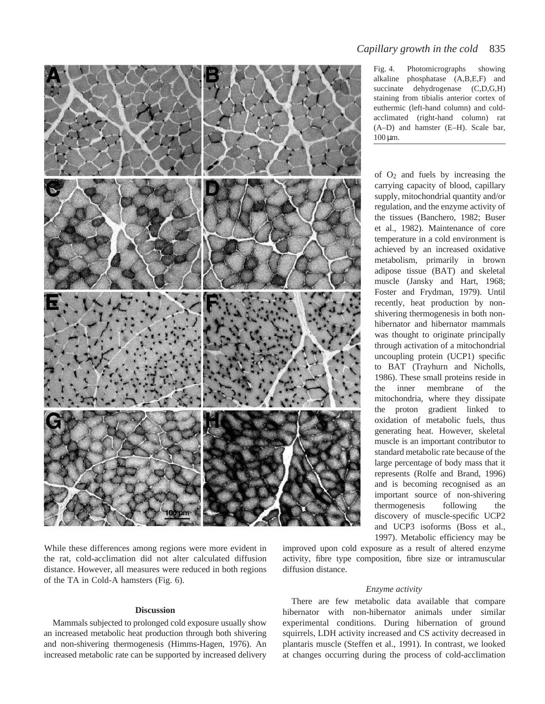

alkaline phosphatase (A,B,E,F) and succinate dehydrogenase (C,D,G,H) staining from tibialis anterior cortex of euthermic (left-hand column) and coldacclimated (right-hand column) rat (A–D) and hamster (E–H). Scale bar,  $100 \,\mu m$ .

*Capillary growth in the cold* 835

of O2 and fuels by increasing the carrying capacity of blood, capillary supply, mitochondrial quantity and/or regulation, and the enzyme activity of the tissues (Banchero, 1982; Buser et al., 1982). Maintenance of core temperature in a cold environment is achieved by an increased oxidative metabolism, primarily in brown adipose tissue (BAT) and skeletal muscle (Jansky and Hart, 1968; Foster and Frydman, 1979). Until recently, heat production by nonshivering thermogenesis in both nonhibernator and hibernator mammals was thought to originate principally through activation of a mitochondrial uncoupling protein (UCP1) specific to BAT (Trayhurn and Nicholls, 1986). These small proteins reside in the inner membrane of the mitochondria, where they dissipate the proton gradient linked to oxidation of metabolic fuels, thus generating heat. However, skeletal muscle is an important contributor to standard metabolic rate because of the large percentage of body mass that it represents (Rolfe and Brand, 1996) and is becoming recognised as an important source of non-shivering thermogenesis following the discovery of muscle-specific UCP2 and UCP3 isoforms (Boss et al., 1997). Metabolic efficiency may be

While these differences among regions were more evident in the rat, cold-acclimation did not alter calculated diffusion distance. However, all measures were reduced in both regions of the TA in Cold-A hamsters (Fig. 6).

### **Discussion**

Mammals subjected to prolonged cold exposure usually show an increased metabolic heat production through both shivering and non-shivering thermogenesis (Himms-Hagen, 1976). An increased metabolic rate can be supported by increased delivery improved upon cold exposure as a result of altered enzyme activity, fibre type composition, fibre size or intramuscular diffusion distance.

### *Enzyme activity*

There are few metabolic data available that compare hibernator with non-hibernator animals under similar experimental conditions. During hibernation of ground squirrels, LDH activity increased and CS activity decreased in plantaris muscle (Steffen et al., 1991). In contrast, we looked at changes occurring during the process of cold-acclimation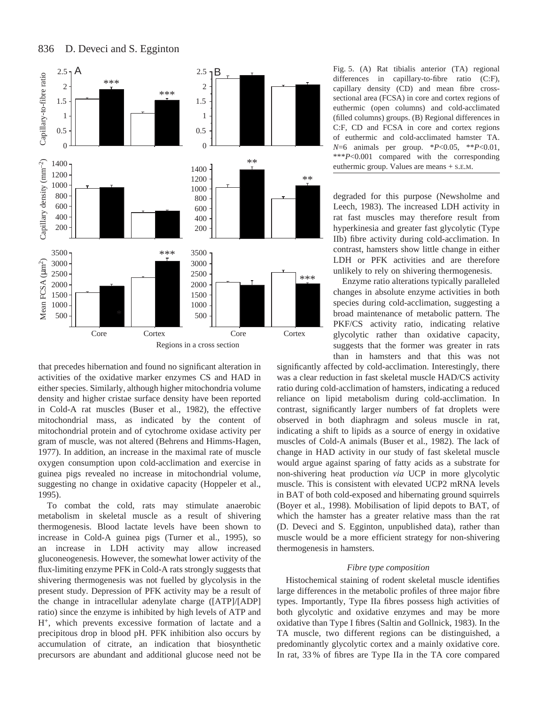



that precedes hibernation and found no significant alteration in activities of the oxidative marker enzymes CS and HAD in either species. Similarly, although higher mitochondria volume density and higher cristae surface density have been reported in Cold-A rat muscles (Buser et al., 1982), the effective mitochondrial mass, as indicated by the content of mitochondrial protein and of cytochrome oxidase activity per gram of muscle, was not altered (Behrens and Himms-Hagen, 1977). In addition, an increase in the maximal rate of muscle oxygen consumption upon cold-acclimation and exercise in guinea pigs revealed no increase in mitochondrial volume, suggesting no change in oxidative capacity (Hoppeler et al., 1995).

To combat the cold, rats may stimulate anaerobic metabolism in skeletal muscle as a result of shivering thermogenesis. Blood lactate levels have been shown to increase in Cold-A guinea pigs (Turner et al., 1995), so an increase in LDH activity may allow increased gluconeogenesis. However, the somewhat lower activity of the flux-limiting enzyme PFK in Cold-A rats strongly suggests that shivering thermogenesis was not fuelled by glycolysis in the present study. Depression of PFK activity may be a result of the change in intracellular adenylate charge ([ATP]/[ADP] ratio) since the enzyme is inhibited by high levels of ATP and H+, which prevents excessive formation of lactate and a precipitous drop in blood pH. PFK inhibition also occurs by accumulation of citrate, an indication that biosynthetic precursors are abundant and additional glucose need not be Fig. 5. (A) Rat tibialis anterior (TA) regional differences in capillary-to-fibre ratio (C:F), capillary density (CD) and mean fibre crosssectional area (FCSA) in core and cortex regions of euthermic (open columns) and cold-acclimated (filled columns) groups. (B) Regional differences in C:F, CD and FCSA in core and cortex regions of euthermic and cold-acclimated hamster TA. *N*=6 animals per group. \**P*<0.05, \*\**P*<0.01, \*\*\**P*<0.001 compared with the corresponding euthermic group. Values are means + S.E.M.

degraded for this purpose (Newsholme and Leech, 1983). The increased LDH activity in rat fast muscles may therefore result from hyperkinesia and greater fast glycolytic (Type IIb) fibre activity during cold-acclimation. In contrast, hamsters show little change in either LDH or PFK activities and are therefore unlikely to rely on shivering thermogenesis.

Enzyme ratio alterations typically paralleled changes in absolute enzyme activities in both species during cold-acclimation, suggesting a broad maintenance of metabolic pattern. The PKF/CS activity ratio, indicating relative glycolytic rather than oxidative capacity, suggests that the former was greater in rats than in hamsters and that this was not

significantly affected by cold-acclimation. Interestingly, there was a clear reduction in fast skeletal muscle HAD/CS activity ratio during cold-acclimation of hamsters, indicating a reduced reliance on lipid metabolism during cold-acclimation. In contrast, significantly larger numbers of fat droplets were observed in both diaphragm and soleus muscle in rat, indicating a shift to lipids as a source of energy in oxidative muscles of Cold-A animals (Buser et al., 1982). The lack of change in HAD activity in our study of fast skeletal muscle would argue against sparing of fatty acids as a substrate for non-shivering heat production *via* UCP in more glycolytic muscle. This is consistent with elevated UCP2 mRNA levels in BAT of both cold-exposed and hibernating ground squirrels (Boyer et al., 1998). Mobilisation of lipid depots to BAT, of which the hamster has a greater relative mass than the rat (D. Deveci and S. Egginton, unpublished data), rather than muscle would be a more efficient strategy for non-shivering thermogenesis in hamsters.

#### *Fibre type composition*

Histochemical staining of rodent skeletal muscle identifies large differences in the metabolic profiles of three major fibre types. Importantly, Type IIa fibres possess high activities of both glycolytic and oxidative enzymes and may be more oxidative than Type I fibres (Saltin and Gollnick, 1983). In the TA muscle, two different regions can be distinguished, a predominantly glycolytic cortex and a mainly oxidative core. In rat, 33 % of fibres are Type IIa in the TA core compared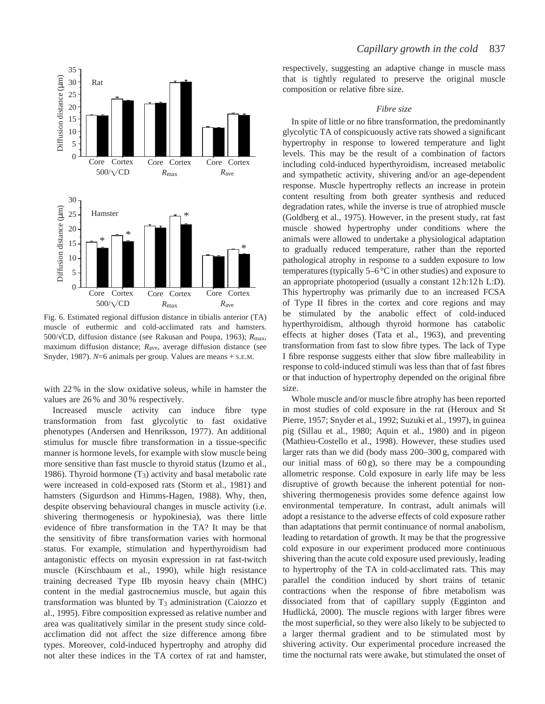

Fig. 6. Estimated regional diffusion distance in tibialis anterior (TA) muscle of euthermic and cold-acclimated rats and hamsters. 500/√CD, diffusion distance (see Rakusan and Poupa, 1963); *R*max, maximum diffusion distance; *R*ave, average diffusion distance (see Snyder, 1987). *N*=6 animals per group. Values are means + S.E.M.

with 22 % in the slow oxidative soleus, while in hamster the values are 26 % and 30 % respectively.

Increased muscle activity can induce fibre type transformation from fast glycolytic to fast oxidative phenotypes (Andersen and Henriksson, 1977). An additional stimulus for muscle fibre transformation in a tissue-specific manner is hormone levels, for example with slow muscle being more sensitive than fast muscle to thyroid status (Izumo et al., 1986). Thyroid hormone (T3) activity and basal metabolic rate were increased in cold-exposed rats (Storm et al., 1981) and hamsters (Sigurdson and Himms-Hagen, 1988). Why, then, despite observing behavioural changes in muscle activity (i.e. shivering thermogenesis or hypokinesia), was there little evidence of fibre transformation in the TA? It may be that the sensitivity of fibre transformation varies with hormonal status. For example, stimulation and hyperthyroidism had antagonistic effects on myosin expression in rat fast-twitch muscle (Kirschbaum et al., 1990), while high resistance training decreased Type IIb myosin heavy chain (MHC) content in the medial gastrocnemius muscle, but again this transformation was blunted by T<sub>3</sub> administration (Caiozzo et al., 1995). Fibre composition expressed as relative number and area was qualitatively similar in the present study since coldacclimation did not affect the size difference among fibre types. Moreover, cold-induced hypertrophy and atrophy did not alter these indices in the TA cortex of rat and hamster, respectively, suggesting an adaptive change in muscle mass that is tightly regulated to preserve the original muscle composition or relative fibre size.

#### *Fibre size*

In spite of little or no fibre transformation, the predominantly glycolytic TA of conspicuously active rats showed a significant hypertrophy in response to lowered temperature and light levels. This may be the result of a combination of factors including cold-induced hyperthyroidism, increased metabolic and sympathetic activity, shivering and/or an age-dependent response. Muscle hypertrophy reflects an increase in protein content resulting from both greater synthesis and reduced degradation rates, while the inverse is true of atrophied muscle (Goldberg et al., 1975). However, in the present study, rat fast muscle showed hypertrophy under conditions where the animals were allowed to undertake a physiological adaptation to gradually reduced temperature, rather than the reported pathological atrophy in response to a sudden exposure to low temperatures (typically  $5-6\degree C$  in other studies) and exposure to an appropriate photoperiod (usually a constant 12 h:12 h L:D). This hypertrophy was primarily due to an increased FCSA of Type II fibres in the cortex and core regions and may be stimulated by the anabolic effect of cold-induced hyperthyroidism, although thyroid hormone has catabolic effects at higher doses (Tata et al., 1963), and preventing transformation from fast to slow fibre types. The lack of Type I fibre response suggests either that slow fibre malleability in response to cold-induced stimuli was less than that of fast fibres or that induction of hypertrophy depended on the original fibre size.

Whole muscle and/or muscle fibre atrophy has been reported in most studies of cold exposure in the rat (Heroux and St Pierre, 1957; Snyder et al., 1992; Suzuki et al., 1997), in guinea pig (Sillau et al., 1980; Aquin et al., 1980) and in pigeon (Mathieu-Costello et al., 1998). However, these studies used larger rats than we did (body mass 200–300 g, compared with our initial mass of  $60 \text{ g}$ ), so there may be a compounding allometric response. Cold exposure in early life may be less disruptive of growth because the inherent potential for nonshivering thermogenesis provides some defence against low environmental temperature. In contrast, adult animals will adopt a resistance to the adverse effects of cold exposure rather than adaptations that permit continuance of normal anabolism, leading to retardation of growth. It may be that the progressive cold exposure in our experiment produced more continuous shivering than the acute cold exposure used previously, leading to hypertrophy of the TA in cold-acclimated rats. This may parallel the condition induced by short trains of tetanic contractions when the response of fibre metabolism was dissociated from that of capillary supply (Egginton and Hudlická, 2000). The muscle regions with larger fibres were the most superficial, so they were also likely to be subjected to a larger thermal gradient and to be stimulated most by shivering activity. Our experimental procedure increased the time the nocturnal rats were awake, but stimulated the onset of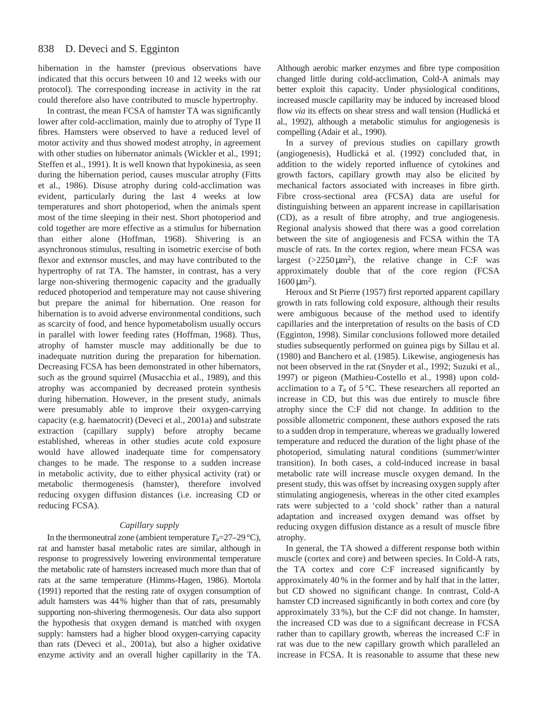hibernation in the hamster (previous observations have indicated that this occurs between 10 and 12 weeks with our protocol). The corresponding increase in activity in the rat could therefore also have contributed to muscle hypertrophy.

In contrast, the mean FCSA of hamster TA was significantly lower after cold-acclimation, mainly due to atrophy of Type II fibres. Hamsters were observed to have a reduced level of motor activity and thus showed modest atrophy, in agreement with other studies on hibernator animals (Wickler et al., 1991; Steffen et al., 1991). It is well known that hypokinesia, as seen during the hibernation period, causes muscular atrophy (Fitts et al., 1986). Disuse atrophy during cold-acclimation was evident, particularly during the last 4 weeks at low temperatures and short photoperiod, when the animals spent most of the time sleeping in their nest. Short photoperiod and cold together are more effective as a stimulus for hibernation than either alone (Hoffman, 1968). Shivering is an asynchronous stimulus, resulting in isometric exercise of both flexor and extensor muscles, and may have contributed to the hypertrophy of rat TA. The hamster, in contrast, has a very large non-shivering thermogenic capacity and the gradually reduced photoperiod and temperature may not cause shivering but prepare the animal for hibernation. One reason for hibernation is to avoid adverse environmental conditions, such as scarcity of food, and hence hypometabolism usually occurs in parallel with lower feeding rates (Hoffman, 1968). Thus, atrophy of hamster muscle may additionally be due to inadequate nutrition during the preparation for hibernation. Decreasing FCSA has been demonstrated in other hibernators, such as the ground squirrel (Musacchia et al., 1989), and this atrophy was accompanied by decreased protein synthesis during hibernation. However, in the present study, animals were presumably able to improve their oxygen-carrying capacity (e.g. haematocrit) (Deveci et al., 2001a) and substrate extraction (capillary supply) before atrophy became established, whereas in other studies acute cold exposure would have allowed inadequate time for compensatory changes to be made. The response to a sudden increase in metabolic activity, due to either physical activity (rat) or metabolic thermogenesis (hamster), therefore involved reducing oxygen diffusion distances (i.e. increasing CD or reducing FCSA).

### *Capillary supply*

In the thermoneutral zone (ambient temperature  $T_a=27-29 \text{ °C}$ ), rat and hamster basal metabolic rates are similar, although in response to progressively lowering environmental temperature the metabolic rate of hamsters increased much more than that of rats at the same temperature (Himms-Hagen, 1986). Mortola (1991) reported that the resting rate of oxygen consumption of adult hamsters was 44% higher than that of rats, presumably supporting non-shivering thermogenesis. Our data also support the hypothesis that oxygen demand is matched with oxygen supply: hamsters had a higher blood oxygen-carrying capacity than rats (Deveci et al., 2001a), but also a higher oxidative enzyme activity and an overall higher capillarity in the TA.

Although aerobic marker enzymes and fibre type composition changed little during cold-acclimation, Cold-A animals may better exploit this capacity. Under physiological conditions, increased muscle capillarity may be induced by increased blood flow *via* its effects on shear stress and wall tension (Hudlická et al., 1992), although a metabolic stimulus for angiogenesis is compelling (Adair et al., 1990).

In a survey of previous studies on capillary growth (angiogenesis), Hudlická et al. (1992) concluded that, in addition to the widely reported influence of cytokines and growth factors, capillary growth may also be elicited by mechanical factors associated with increases in fibre girth. Fibre cross-sectional area (FCSA) data are useful for distinguishing between an apparent increase in capillarisation (CD), as a result of fibre atrophy, and true angiogenesis. Regional analysis showed that there was a good correlation between the site of angiogenesis and FCSA within the TA muscle of rats. In the cortex region, where mean FCSA was largest  $(>2250 \,\mu m^2)$ , the relative change in C:F was approximately double that of the core region (FCSA  $1600 \,\mathrm{\mu m^2}$ ).

Heroux and St Pierre (1957) first reported apparent capillary growth in rats following cold exposure, although their results were ambiguous because of the method used to identify capillaries and the interpretation of results on the basis of CD (Egginton, 1998). Similar conclusions followed more detailed studies subsequently performed on guinea pigs by Sillau et al. (1980) and Banchero et al. (1985). Likewise, angiogenesis has not been observed in the rat (Snyder et al., 1992; Suzuki et al., 1997) or pigeon (Mathieu-Costello et al., 1998) upon coldacclimation to a  $T_a$  of 5 °C. These researchers all reported an increase in CD, but this was due entirely to muscle fibre atrophy since the C:F did not change. In addition to the possible allometric component, these authors exposed the rats to a sudden drop in temperature, whereas we gradually lowered temperature and reduced the duration of the light phase of the photoperiod, simulating natural conditions (summer/winter transition). In both cases, a cold-induced increase in basal metabolic rate will increase muscle oxygen demand. In the present study, this was offset by increasing oxygen supply after stimulating angiogenesis, whereas in the other cited examples rats were subjected to a 'cold shock' rather than a natural adaptation and increased oxygen demand was offset by reducing oxygen diffusion distance as a result of muscle fibre atrophy.

In general, the TA showed a different response both within muscle (cortex and core) and between species. In Cold-A rats, the TA cortex and core C:F increased significantly by approximately 40 % in the former and by half that in the latter, but CD showed no significant change. In contrast, Cold-A hamster CD increased significantly in both cortex and core (by approximately 33 %), but the C:F did not change. In hamster, the increased CD was due to a significant decrease in FCSA rather than to capillary growth, whereas the increased C:F in rat was due to the new capillary growth which paralleled an increase in FCSA. It is reasonable to assume that these new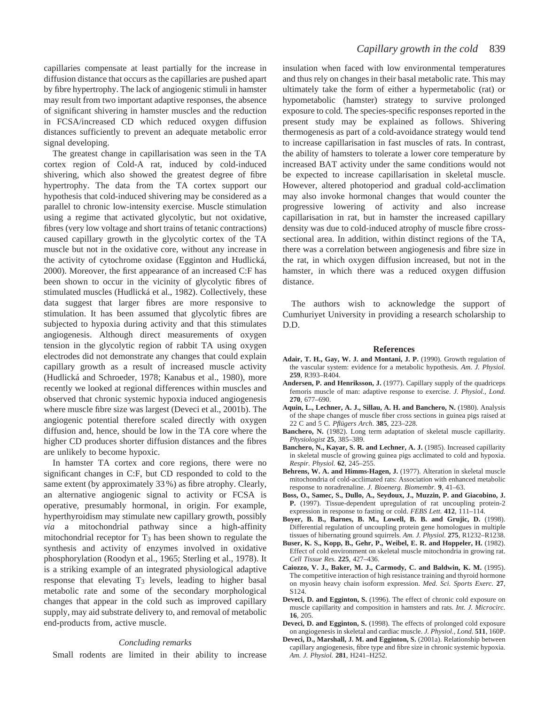capillaries compensate at least partially for the increase in diffusion distance that occurs as the capillaries are pushed apart by fibre hypertrophy. The lack of angiogenic stimuli in hamster may result from two important adaptive responses, the absence of significant shivering in hamster muscles and the reduction in FCSA/increased CD which reduced oxygen diffusion distances sufficiently to prevent an adequate metabolic error signal developing.

The greatest change in capillarisation was seen in the TA cortex region of Cold-A rat, induced by cold-induced shivering, which also showed the greatest degree of fibre hypertrophy. The data from the TA cortex support our hypothesis that cold-induced shivering may be considered as a parallel to chronic low-intensity exercise. Muscle stimulation using a regime that activated glycolytic, but not oxidative, fibres (very low voltage and short trains of tetanic contractions) caused capillary growth in the glycolytic cortex of the TA muscle but not in the oxidative core, without any increase in the activity of cytochrome oxidase (Egginton and Hudlická, 2000). Moreover, the first appearance of an increased C:F has been shown to occur in the vicinity of glycolytic fibres of stimulated muscles (Hudlická et al., 1982). Collectively, these data suggest that larger fibres are more responsive to stimulation. It has been assumed that glycolytic fibres are subjected to hypoxia during activity and that this stimulates angiogenesis. Although direct measurements of oxygen tension in the glycolytic region of rabbit TA using oxygen electrodes did not demonstrate any changes that could explain capillary growth as a result of increased muscle activity (Hudlická and Schroeder, 1978; Kanabus et al., 1980), more recently we looked at regional differences within muscles and observed that chronic systemic hypoxia induced angiogenesis where muscle fibre size was largest (Deveci et al., 2001b). The angiogenic potential therefore scaled directly with oxygen diffusion and, hence, should be low in the TA core where the higher CD produces shorter diffusion distances and the fibres are unlikely to become hypoxic.

In hamster TA cortex and core regions, there were no significant changes in C:F, but CD responded to cold to the same extent (by approximately 33 %) as fibre atrophy. Clearly, an alternative angiogenic signal to activity or FCSA is operative, presumably hormonal, in origin. For example, hyperthyroidism may stimulate new capillary growth, possibly *via* a mitochondrial pathway since a high-affinity mitochondrial receptor for  $T_3$  has been shown to regulate the synthesis and activity of enzymes involved in oxidative phosphorylation (Roodyn et al., 1965; Sterling et al., 1978). It is a striking example of an integrated physiological adaptive response that elevating T<sub>3</sub> levels, leading to higher basal metabolic rate and some of the secondary morphological changes that appear in the cold such as improved capillary supply, may aid substrate delivery to, and removal of metabolic end-products from, active muscle.

#### *Concluding remarks*

Small rodents are limited in their ability to increase

insulation when faced with low environmental temperatures and thus rely on changes in their basal metabolic rate. This may ultimately take the form of either a hypermetabolic (rat) or hypometabolic (hamster) strategy to survive prolonged exposure to cold. The species-specific responses reported in the present study may be explained as follows. Shivering thermogenesis as part of a cold-avoidance strategy would tend to increase capillarisation in fast muscles of rats. In contrast, the ability of hamsters to tolerate a lower core temperature by increased BAT activity under the same conditions would not be expected to increase capillarisation in skeletal muscle. However, altered photoperiod and gradual cold-acclimation may also invoke hormonal changes that would counter the progressive lowering of activity and also increase capillarisation in rat, but in hamster the increased capillary density was due to cold-induced atrophy of muscle fibre crosssectional area. In addition, within distinct regions of the TA, there was a correlation between angiogenesis and fibre size in the rat, in which oxygen diffusion increased, but not in the hamster, in which there was a reduced oxygen diffusion distance.

The authors wish to acknowledge the support of Cumhuriyet University in providing a research scholarship to D.D.

#### **References**

- **Adair, T. H., Gay, W. J. and Montani, J. P.** (1990). Growth regulation of the vascular system: evidence for a metabolic hypothesis. *Am. J. Physiol.* **259**, R393–R404.
- **Andersen, P. and Henriksson, J.** (1977). Capillary supply of the quadriceps femoris muscle of man: adaptive response to exercise. *J. Physiol., Lond.* **270**, 677–690.
- **Aquin, L., Lechner, A. J., Sillau, A. H. and Banchero, N.** (1980). Analysis of the shape changes of muscle fiber cross sections in guinea pigs raised at 22 C and 5 C. *Pflügers Arch.* **385**, 223–228.
- **Banchero, N.** (1982). Long term adaptation of skeletal muscle capillarity*. Physiologist* **25**, 385–389.
- **Banchero, N., Kayar, S. R. and Lechner, A. J.** (1985). Increased capillarity in skeletal muscle of growing guinea pigs acclimated to cold and hypoxia. *Respir. Physiol.* **62**, 245–255.
- **Behrens, W. A. and Himms-Hagen, J.** (1977). Alteration in skeletal muscle mitochondria of cold-acclimated rats: Association with enhanced metabolic response to noradrenaline. *J. Bioenerg. Biomembr.* **9**, 41–63.
- **Boss, O., Samec, S., Dullo, A., Seydoux, J., Muzzin, P. and Giacobino, J. P.** (1997). Tissue-dependent upregulation of rat uncoupling protein-2 expression in response to fasting or cold. *FEBS Lett.* **412**, 111–114.
- **Boyer, B. B., Barnes, B. M., Lowell, B. B. and Grujic, D.** (1998). Differential regulation of uncoupling protein gene homologues in multiple tissues of hibernating ground squirrels. *Am. J. Physiol.* **275**, R1232–R1238.
- **Buser, K. S., Kopp, B., Gehr, P., Weibel, E. R. and Hoppeler, H.** (1982). Effect of cold environment on skeletal muscle mitochondria in growing rat. *Cell Tissue Res.* **225**, 427–436.
- **Caiozzo, V. J., Baker, M. J., Carmody, C. and Baldwin, K. M.** (1995). The competitive interaction of high resistance training and thyroid hormone on myosin heavy chain isoform expression. *Med. Sci. Sports Exerc.* **27**, S124.
- **Deveci, D. and Egginton, S.** (1996). The effect of chronic cold exposure on muscle capillarity and composition in hamsters and rats. *Int. J. Microcirc.* **16**, 205.
- **Deveci, D. and Egginton, S.** (1998). The effects of prolonged cold exposure on angiogenesis in skeletal and cardiac muscle. *J. Physiol., Lond.* **511**, 160P.
- **Deveci, D., Marshall, J. M. and Egginton, S.** (2001a). Relationship between capillary angiogenesis, fibre type and fibre size in chronic systemic hypoxia. *Am. J. Physiol.* **281**, H241–H252.